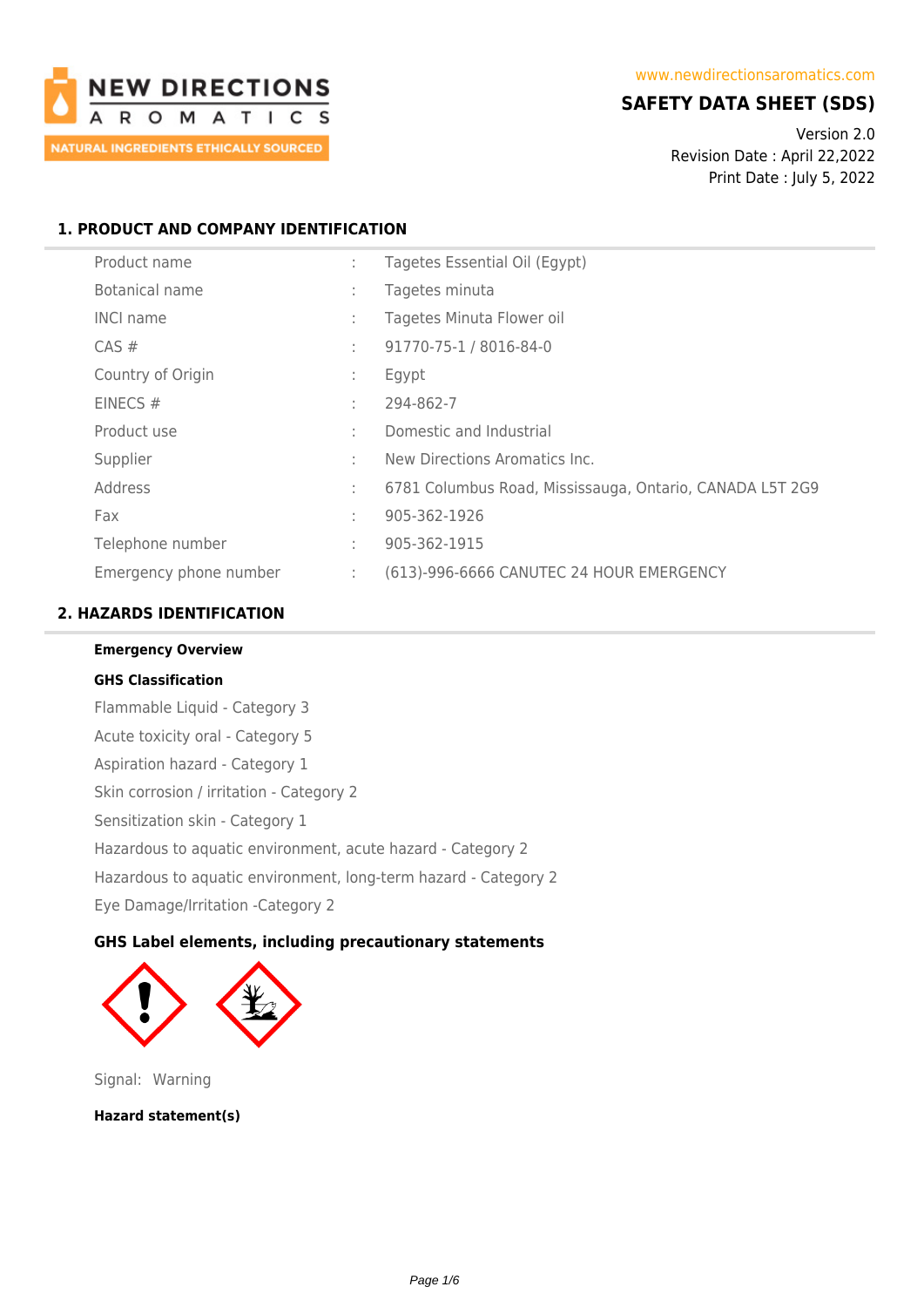

# **SAFETY DATA SHEET (SDS)**

Version 2.0 Revision Date : April 22,2022 Print Date : July 5, 2022

# **1. PRODUCT AND COMPANY IDENTIFICATION**

| Product name           | ÷ | Tagetes Essential Oil (Egypt)                            |
|------------------------|---|----------------------------------------------------------|
| Botanical name         | ÷ | Tagetes minuta                                           |
| <b>INCI name</b>       | ÷ | Tagetes Minuta Flower oil                                |
| $CAS \#$               | ÷ | 91770-75-1 / 8016-84-0                                   |
| Country of Origin      | ÷ | Egypt                                                    |
| EINECS $#$             | ÷ | 294-862-7                                                |
| Product use            |   | Domestic and Industrial                                  |
| Supplier               |   | New Directions Aromatics Inc.                            |
| Address                | ÷ | 6781 Columbus Road, Mississauga, Ontario, CANADA L5T 2G9 |
| Fax                    | ÷ | 905-362-1926                                             |
| Telephone number       | ÷ | 905-362-1915                                             |
| Emergency phone number | ÷ | (613)-996-6666 CANUTEC 24 HOUR EMERGENCY                 |

# **2. HAZARDS IDENTIFICATION**

**Emergency Overview**

**GHS Classification** Flammable Liquid - Category 3 Acute toxicity oral - Category 5 Aspiration hazard - Category 1 Skin corrosion / irritation - Category 2 Sensitization skin - Category 1 Hazardous to aquatic environment, acute hazard - Category 2 Hazardous to aquatic environment, long-term hazard - Category 2 Eye Damage/Irritation -Category 2

## **GHS Label elements, including precautionary statements**



Signal: Warning

**Hazard statement(s)**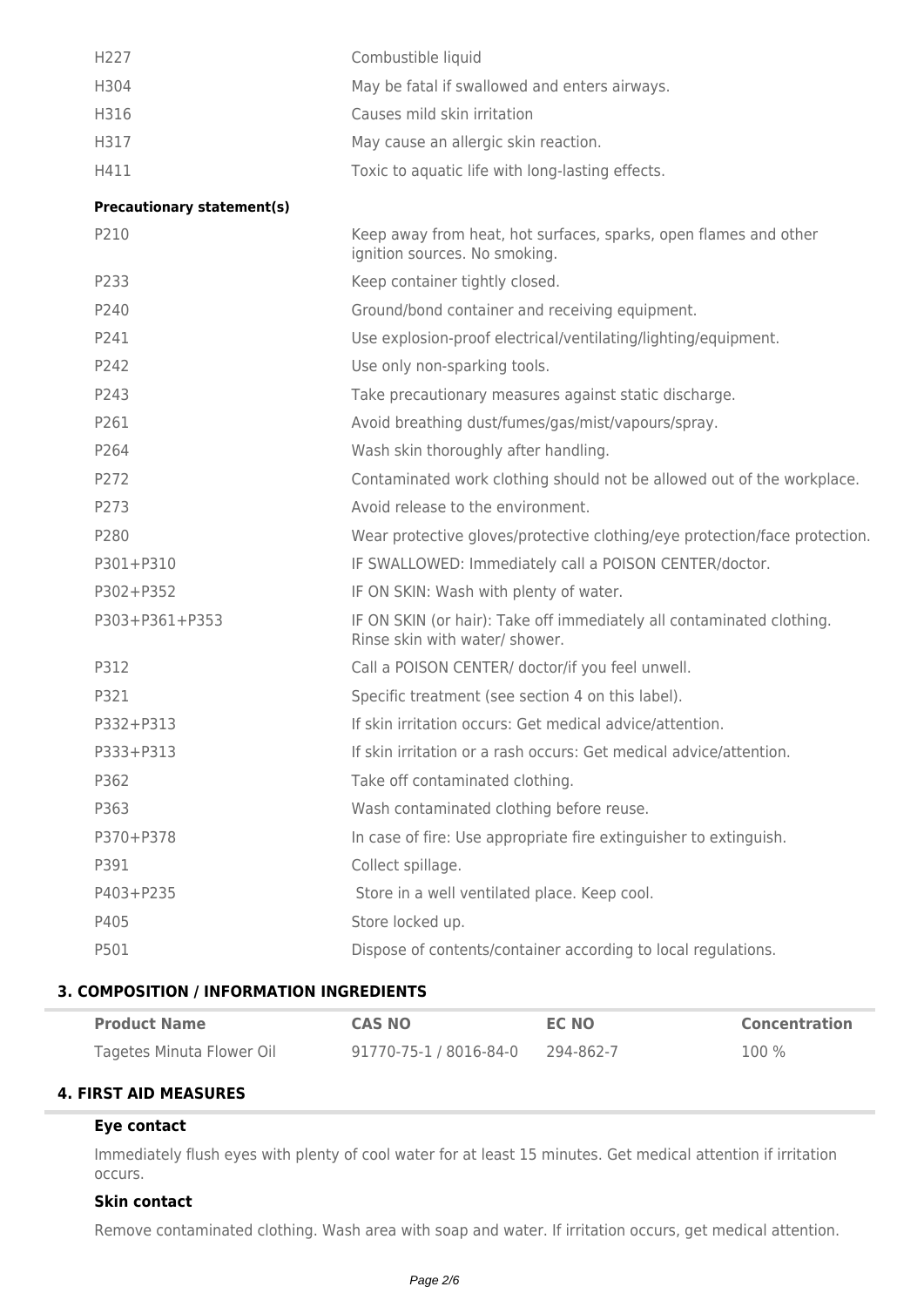| H227                              | Combustible liquid                                                                                      |
|-----------------------------------|---------------------------------------------------------------------------------------------------------|
| H304                              | May be fatal if swallowed and enters airways.                                                           |
| H316                              | Causes mild skin irritation                                                                             |
| H317                              | May cause an allergic skin reaction.                                                                    |
| H411                              | Toxic to aquatic life with long-lasting effects.                                                        |
| <b>Precautionary statement(s)</b> |                                                                                                         |
| P210                              | Keep away from heat, hot surfaces, sparks, open flames and other<br>ignition sources. No smoking.       |
| P233                              | Keep container tightly closed.                                                                          |
| P240                              | Ground/bond container and receiving equipment.                                                          |
| P241                              | Use explosion-proof electrical/ventilating/lighting/equipment.                                          |
| P242                              | Use only non-sparking tools.                                                                            |
| P243                              | Take precautionary measures against static discharge.                                                   |
| P261                              | Avoid breathing dust/fumes/gas/mist/vapours/spray.                                                      |
| P264                              | Wash skin thoroughly after handling.                                                                    |
| P272                              | Contaminated work clothing should not be allowed out of the workplace.                                  |
| P273                              | Avoid release to the environment.                                                                       |
| P280                              | Wear protective gloves/protective clothing/eye protection/face protection.                              |
| P301+P310                         | IF SWALLOWED: Immediately call a POISON CENTER/doctor.                                                  |
| P302+P352                         | IF ON SKIN: Wash with plenty of water.                                                                  |
| P303+P361+P353                    | IF ON SKIN (or hair): Take off immediately all contaminated clothing.<br>Rinse skin with water/ shower. |
| P312                              | Call a POISON CENTER/ doctor/if you feel unwell.                                                        |
| P321                              | Specific treatment (see section 4 on this label).                                                       |
| P332+P313                         | If skin irritation occurs: Get medical advice/attention.                                                |
| P333+P313                         | If skin irritation or a rash occurs: Get medical advice/attention.                                      |
| P362                              | Take off contaminated clothing.                                                                         |
| P363                              | Wash contaminated clothing before reuse.                                                                |
| P370+P378                         | In case of fire: Use appropriate fire extinguisher to extinguish.                                       |
| P391                              | Collect spillage.                                                                                       |
| P403+P235                         | Store in a well ventilated place. Keep cool.                                                            |
| P405                              | Store locked up.                                                                                        |
| P501                              | Dispose of contents/container according to local regulations.                                           |
|                                   |                                                                                                         |

### **3. COMPOSITION / INFORMATION INGREDIENTS**

| <b>Product Name</b>       | <b>CAS NO</b>          | <b>EC NO</b> | <b>Concentration</b> |
|---------------------------|------------------------|--------------|----------------------|
| Tagetes Minuta Flower Oil | 91770-75-1 / 8016-84-0 | 294-862-7    | 100 %                |

#### **4. FIRST AID MEASURES**

### **Eye contact**

Immediately flush eyes with plenty of cool water for at least 15 minutes. Get medical attention if irritation occurs.

### **Skin contact**

Remove contaminated clothing. Wash area with soap and water. If irritation occurs, get medical attention.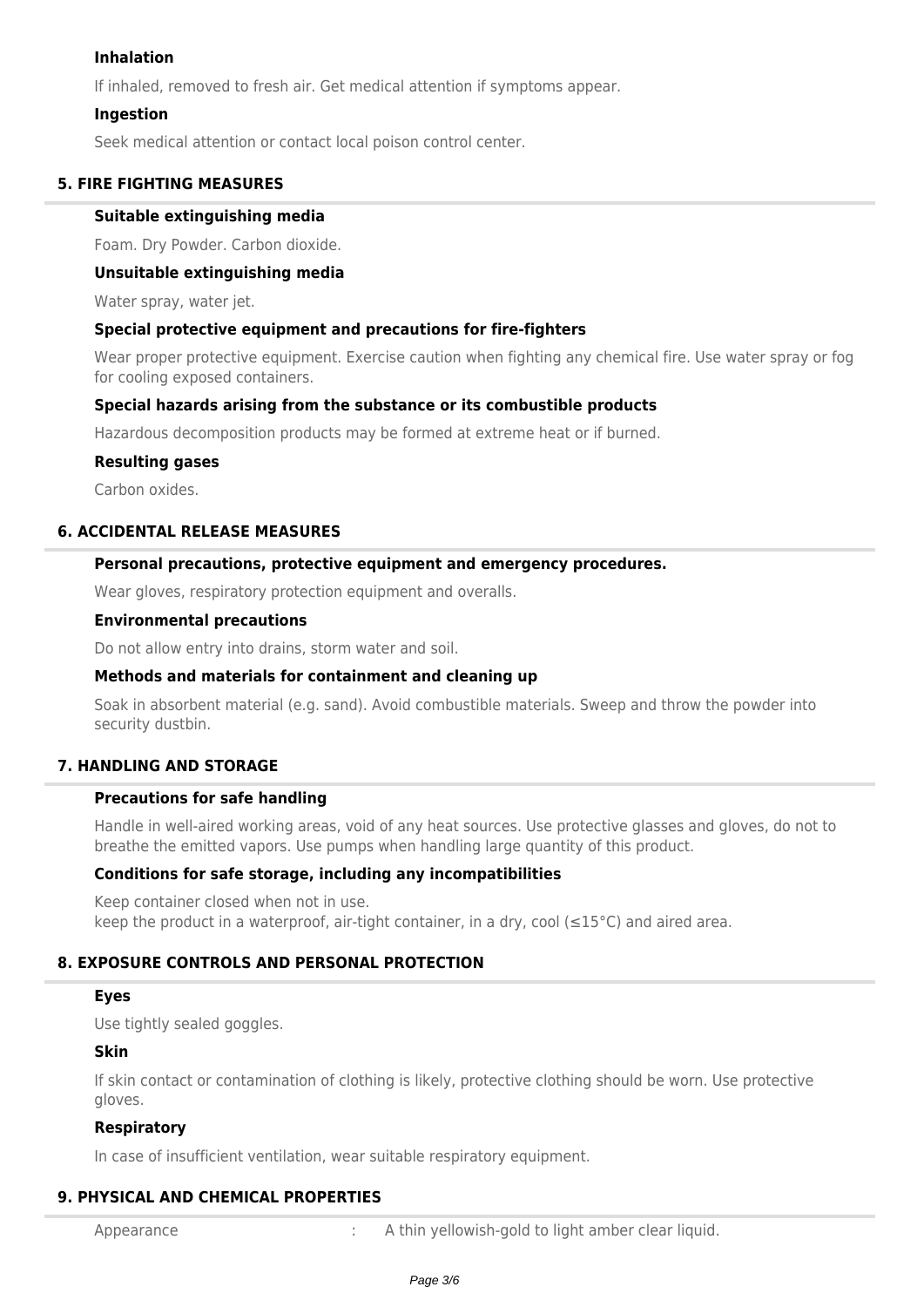#### **Inhalation**

If inhaled, removed to fresh air. Get medical attention if symptoms appear.

#### **Ingestion**

Seek medical attention or contact local poison control center.

#### **5. FIRE FIGHTING MEASURES**

#### **Suitable extinguishing media**

Foam. Dry Powder. Carbon dioxide.

#### **Unsuitable extinguishing media**

Water spray, water jet.

#### **Special protective equipment and precautions for fire-fighters**

Wear proper protective equipment. Exercise caution when fighting any chemical fire. Use water spray or fog for cooling exposed containers.

### **Special hazards arising from the substance or its combustible products**

Hazardous decomposition products may be formed at extreme heat or if burned.

#### **Resulting gases**

Carbon oxides.

# **6. ACCIDENTAL RELEASE MEASURES**

### **Personal precautions, protective equipment and emergency procedures.**

Wear gloves, respiratory protection equipment and overalls.

#### **Environmental precautions**

Do not allow entry into drains, storm water and soil.

#### **Methods and materials for containment and cleaning up**

Soak in absorbent material (e.g. sand). Avoid combustible materials. Sweep and throw the powder into security dustbin.

## **7. HANDLING AND STORAGE**

#### **Precautions for safe handling**

Handle in well-aired working areas, void of any heat sources. Use protective glasses and gloves, do not to breathe the emitted vapors. Use pumps when handling large quantity of this product.

#### **Conditions for safe storage, including any incompatibilities**

Keep container closed when not in use. keep the product in a waterproof, air-tight container, in a dry, cool ( $\leq 15^{\circ}$ C) and aired area.

## **8. EXPOSURE CONTROLS AND PERSONAL PROTECTION**

#### **Eyes**

Use tightly sealed goggles.

#### **Skin**

If skin contact or contamination of clothing is likely, protective clothing should be worn. Use protective gloves.

#### **Respiratory**

In case of insufficient ventilation, wear suitable respiratory equipment.

## **9. PHYSICAL AND CHEMICAL PROPERTIES**

Appearance : A thin yellowish-gold to light amber clear liquid.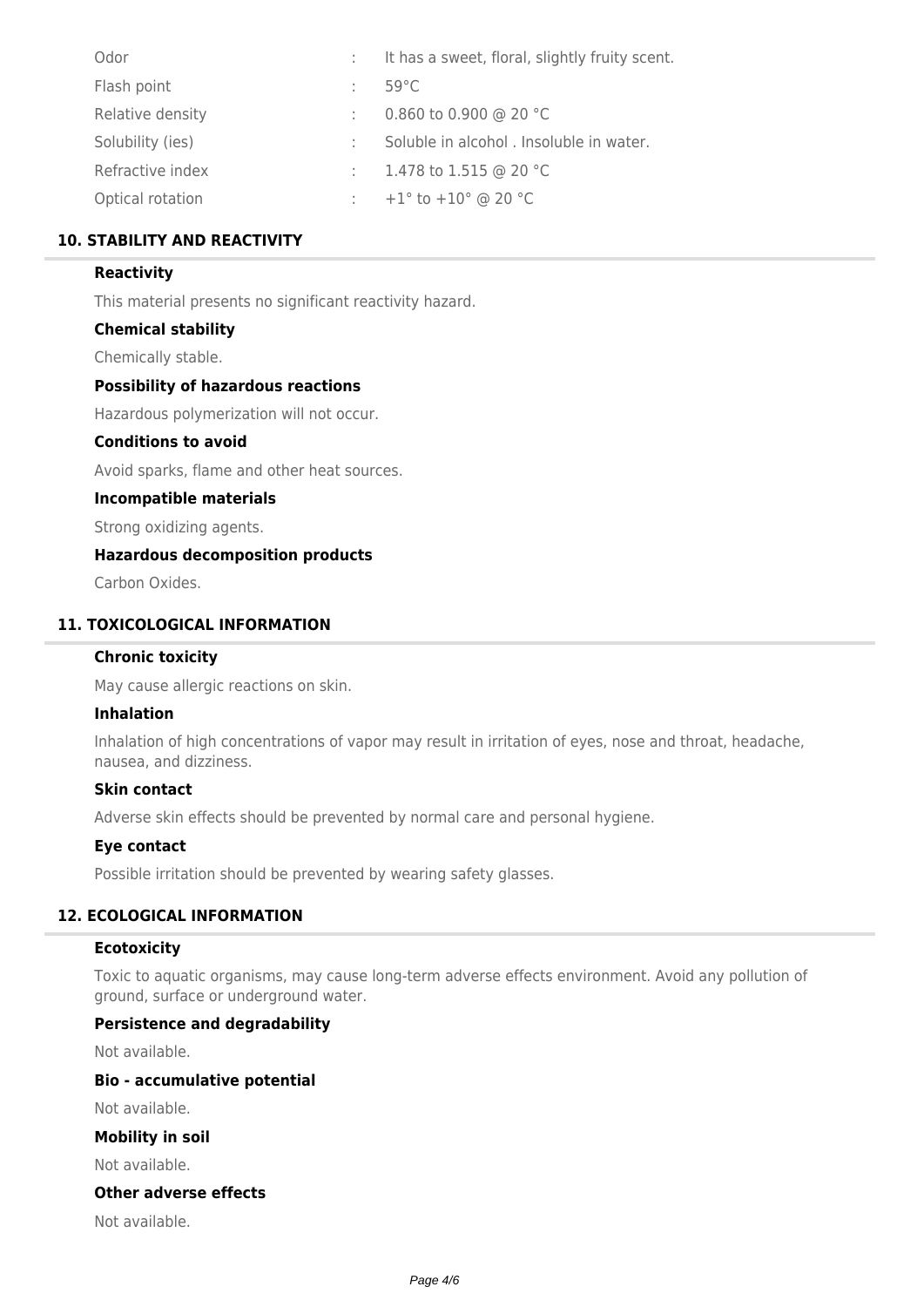| Odor             | It has a sweet, floral, slightly fruity scent. |
|------------------|------------------------------------------------|
| Flash point      | $59^{\circ}$ C                                 |
| Relative density | 0.860 to 0.900 @ 20 °C                         |
| Solubility (ies) | Soluble in alcohol . Insoluble in water.       |
| Refractive index | 1.478 to 1.515 @ 20 °C                         |
| Optical rotation | +1 $\degree$ to +10 $\degree$ @ 20 $\degree$ C |

## **10. STABILITY AND REACTIVITY**

#### **Reactivity**

This material presents no significant reactivity hazard.

#### **Chemical stability**

Chemically stable.

#### **Possibility of hazardous reactions**

Hazardous polymerization will not occur.

#### **Conditions to avoid**

Avoid sparks, flame and other heat sources.

#### **Incompatible materials**

Strong oxidizing agents.

### **Hazardous decomposition products**

Carbon Oxides.

### **11. TOXICOLOGICAL INFORMATION**

#### **Chronic toxicity**

May cause allergic reactions on skin.

#### **Inhalation**

Inhalation of high concentrations of vapor may result in irritation of eyes, nose and throat, headache, nausea, and dizziness.

#### **Skin contact**

Adverse skin effects should be prevented by normal care and personal hygiene.

### **Eye contact**

Possible irritation should be prevented by wearing safety glasses.

#### **12. ECOLOGICAL INFORMATION**

#### **Ecotoxicity**

Toxic to aquatic organisms, may cause long-term adverse effects environment. Avoid any pollution of ground, surface or underground water.

#### **Persistence and degradability**

Not available.

#### **Bio - accumulative potential**

Not available.

### **Mobility in soil**

Not available.

#### **Other adverse effects**

Not available.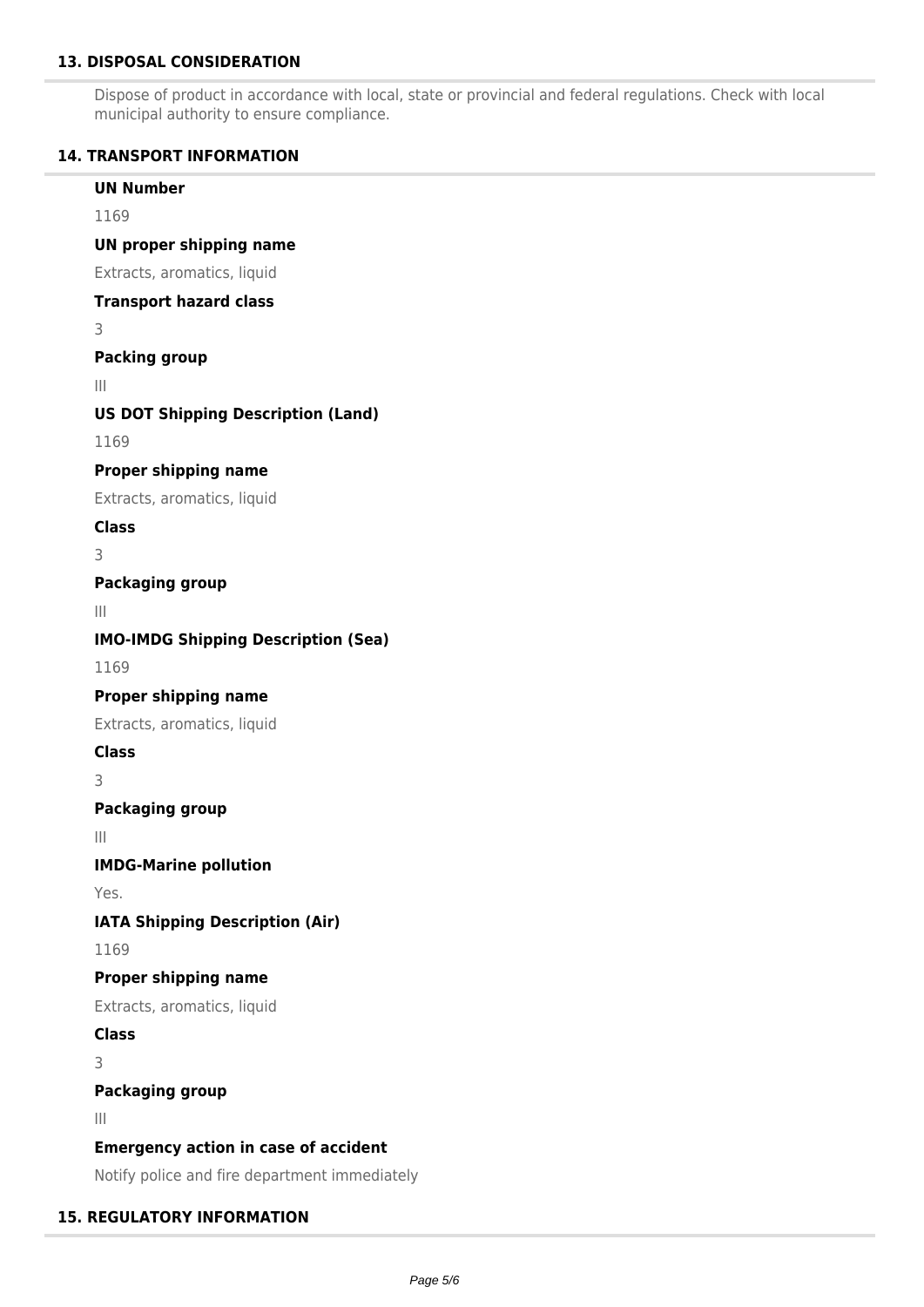### **13. DISPOSAL CONSIDERATION**

Dispose of product in accordance with local, state or provincial and federal regulations. Check with local municipal authority to ensure compliance.

### **14. TRANSPORT INFORMATION**

**UN Number** 1169 **UN proper shipping name** Extracts, aromatics, liquid **Transport hazard class** 3 **Packing group** III **US DOT Shipping Description (Land)** 1169 **Proper shipping name** Extracts, aromatics, liquid **Class** 3 **Packaging group** III **IMO-IMDG Shipping Description (Sea)** 1169 **Proper shipping name** Extracts, aromatics, liquid **Class** 3 **Packaging group** III **IMDG-Marine pollution** Yes. **IATA Shipping Description (Air)** 1169 **Proper shipping name** Extracts, aromatics, liquid **Class** 3 **Packaging group** III **Emergency action in case of accident** Notify police and fire department immediately

#### **15. REGULATORY INFORMATION**